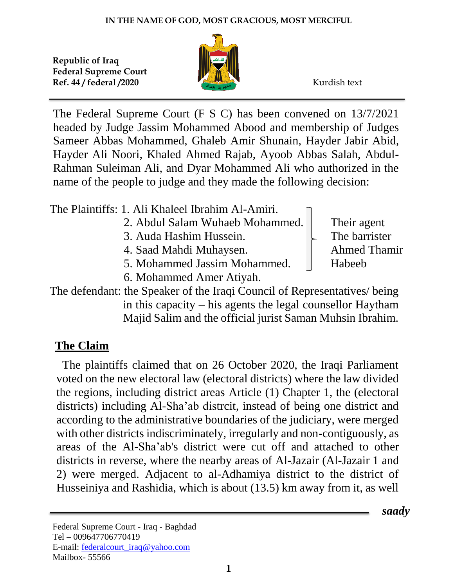

The Federal Supreme Court (F S C) has been convened on 13/7/2021 headed by Judge Jassim Mohammed Abood and membership of Judges Sameer Abbas Mohammed, Ghaleb Amir Shunain, Hayder Jabir Abid, Hayder Ali Noori, Khaled Ahmed Rajab, Ayoob Abbas Salah, Abdul-Rahman Suleiman Ali, and Dyar Mohammed Ali who authorized in the name of the people to judge and they made the following decision:

The Plaintiffs: 1. Ali Khaleel Ibrahim Al-Amiri.

- 2. Abdul Salam Wuhaeb Mohammed. Their agent
- 3. Auda Hashim Hussein.  $\Box$  The barrister
- 4. Saad Mahdi Muhaysen. Ahmed Thamir
- 5. Mohammed Jassim Mohammed. Habeeb
- 6. Mohammed Amer Atiyah.

 *saady*

The defendant: the Speaker of the Iraqi Council of Representatives/ being in this capacity – his agents the legal counsellor Haytham Majid Salim and the official jurist Saman Muhsin Ibrahim.

## **The Claim**

 The plaintiffs claimed that on 26 October 2020, the Iraqi Parliament voted on the new electoral law (electoral districts) where the law divided the regions, including district areas Article (1) Chapter 1, the (electoral districts) including Al-Sha'ab distrcit, instead of being one district and according to the administrative boundaries of the judiciary, were merged with other districts indiscriminately, irregularly and non-contiguously, as areas of the Al-Sha'ab's district were cut off and attached to other districts in reverse, where the nearby areas of Al-Jazair (Al-Jazair 1 and 2) were merged. Adjacent to al-Adhamiya district to the district of Husseiniya and Rashidia, which is about (13.5) km away from it, as well

Federal Supreme Court - Iraq - Baghdad Tel – 009647706770419 E-mail: [federalcourt\\_iraq@yahoo.com](mailto:federalcourt_iraq@yahoo.com) Mailbox- 55566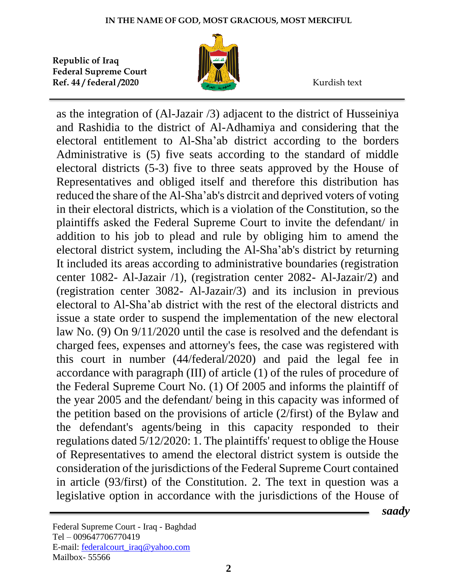

as the integration of (Al-Jazair /3) adjacent to the district of Husseiniya and Rashidia to the district of Al-Adhamiya and considering that the electoral entitlement to Al-Sha'ab district according to the borders Administrative is (5) five seats according to the standard of middle electoral districts (5-3) five to three seats approved by the House of Representatives and obliged itself and therefore this distribution has reduced the share of the Al-Sha'ab's distrcit and deprived voters of voting in their electoral districts, which is a violation of the Constitution, so the plaintiffs asked the Federal Supreme Court to invite the defendant/ in addition to his job to plead and rule by obliging him to amend the electoral district system, including the Al-Sha'ab's district by returning It included its areas according to administrative boundaries (registration center 1082- Al-Jazair /1), (registration center 2082- Al-Jazair/2) and (registration center 3082- Al-Jazair/3) and its inclusion in previous electoral to Al-Sha'ab district with the rest of the electoral districts and issue a state order to suspend the implementation of the new electoral law No. (9) On 9/11/2020 until the case is resolved and the defendant is charged fees, expenses and attorney's fees, the case was registered with this court in number (44/federal/2020) and paid the legal fee in accordance with paragraph (III) of article (1) of the rules of procedure of the Federal Supreme Court No. (1) Of 2005 and informs the plaintiff of the year 2005 and the defendant/ being in this capacity was informed of the petition based on the provisions of article (2/first) of the Bylaw and the defendant's agents/being in this capacity responded to their regulations dated 5/12/2020: 1. The plaintiffs' request to oblige the House of Representatives to amend the electoral district system is outside the consideration of the jurisdictions of the Federal Supreme Court contained in article (93/first) of the Constitution. 2. The text in question was a legislative option in accordance with the jurisdictions of the House of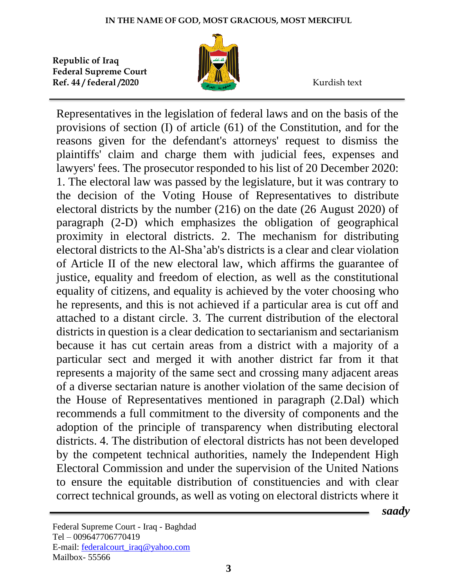

Representatives in the legislation of federal laws and on the basis of the provisions of section (I) of article (61) of the Constitution, and for the reasons given for the defendant's attorneys' request to dismiss the plaintiffs' claim and charge them with judicial fees, expenses and lawyers' fees. The prosecutor responded to his list of 20 December 2020: 1. The electoral law was passed by the legislature, but it was contrary to the decision of the Voting House of Representatives to distribute electoral districts by the number (216) on the date (26 August 2020) of paragraph (2-D) which emphasizes the obligation of geographical proximity in electoral districts. 2. The mechanism for distributing electoral districts to the Al-Sha'ab's districts is a clear and clear violation of Article II of the new electoral law, which affirms the guarantee of justice, equality and freedom of election, as well as the constitutional equality of citizens, and equality is achieved by the voter choosing who he represents, and this is not achieved if a particular area is cut off and attached to a distant circle. 3. The current distribution of the electoral districts in question is a clear dedication to sectarianism and sectarianism because it has cut certain areas from a district with a majority of a particular sect and merged it with another district far from it that represents a majority of the same sect and crossing many adjacent areas of a diverse sectarian nature is another violation of the same decision of the House of Representatives mentioned in paragraph (2.Dal) which recommends a full commitment to the diversity of components and the adoption of the principle of transparency when distributing electoral districts. 4. The distribution of electoral districts has not been developed by the competent technical authorities, namely the Independent High Electoral Commission and under the supervision of the United Nations to ensure the equitable distribution of constituencies and with clear correct technical grounds, as well as voting on electoral districts where it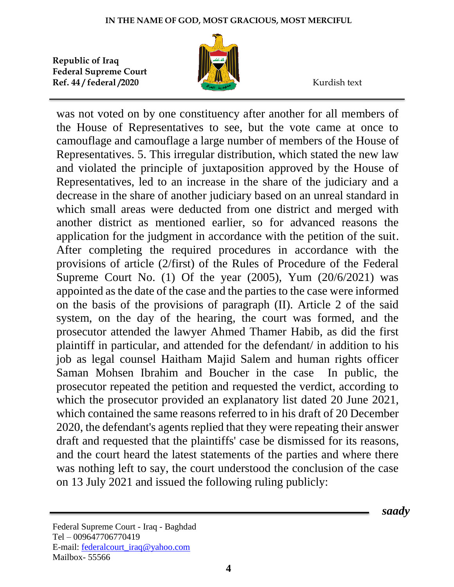

was not voted on by one constituency after another for all members of the House of Representatives to see, but the vote came at once to camouflage and camouflage a large number of members of the House of Representatives. 5. This irregular distribution, which stated the new law and violated the principle of juxtaposition approved by the House of Representatives, led to an increase in the share of the judiciary and a decrease in the share of another judiciary based on an unreal standard in which small areas were deducted from one district and merged with another district as mentioned earlier, so for advanced reasons the application for the judgment in accordance with the petition of the suit. After completing the required procedures in accordance with the provisions of article (2/first) of the Rules of Procedure of the Federal Supreme Court No. (1) Of the year  $(2005)$ , Yum  $(20/6/2021)$  was appointed as the date of the case and the parties to the case were informed on the basis of the provisions of paragraph (II). Article 2 of the said system, on the day of the hearing, the court was formed, and the prosecutor attended the lawyer Ahmed Thamer Habib, as did the first plaintiff in particular, and attended for the defendant/ in addition to his job as legal counsel Haitham Majid Salem and human rights officer Saman Mohsen Ibrahim and Boucher in the case In public, the prosecutor repeated the petition and requested the verdict, according to which the prosecutor provided an explanatory list dated 20 June 2021, which contained the same reasons referred to in his draft of 20 December 2020, the defendant's agents replied that they were repeating their answer draft and requested that the plaintiffs' case be dismissed for its reasons, and the court heard the latest statements of the parties and where there was nothing left to say, the court understood the conclusion of the case on 13 July 2021 and issued the following ruling publicly: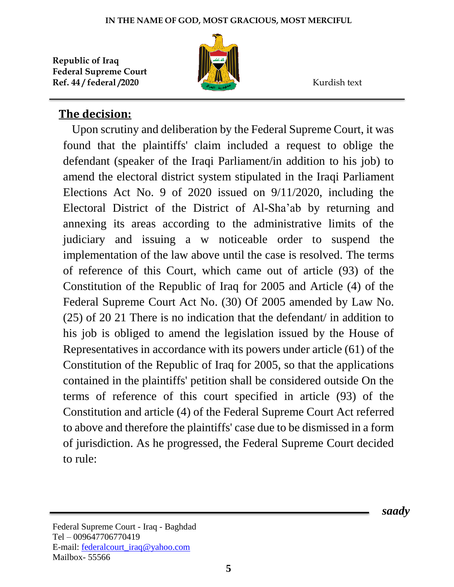

## **The decision:**

 Upon scrutiny and deliberation by the Federal Supreme Court, it was found that the plaintiffs' claim included a request to oblige the defendant (speaker of the Iraqi Parliament/in addition to his job) to amend the electoral district system stipulated in the Iraqi Parliament Elections Act No. 9 of 2020 issued on 9/11/2020, including the Electoral District of the District of Al-Sha'ab by returning and annexing its areas according to the administrative limits of the judiciary and issuing a w noticeable order to suspend the implementation of the law above until the case is resolved. The terms of reference of this Court, which came out of article (93) of the Constitution of the Republic of Iraq for 2005 and Article (4) of the Federal Supreme Court Act No. (30) Of 2005 amended by Law No. (25) of 20 21 There is no indication that the defendant/ in addition to his job is obliged to amend the legislation issued by the House of Representatives in accordance with its powers under article (61) of the Constitution of the Republic of Iraq for 2005, so that the applications contained in the plaintiffs' petition shall be considered outside On the terms of reference of this court specified in article (93) of the Constitution and article (4) of the Federal Supreme Court Act referred to above and therefore the plaintiffs' case due to be dismissed in a form of jurisdiction. As he progressed, the Federal Supreme Court decided to rule: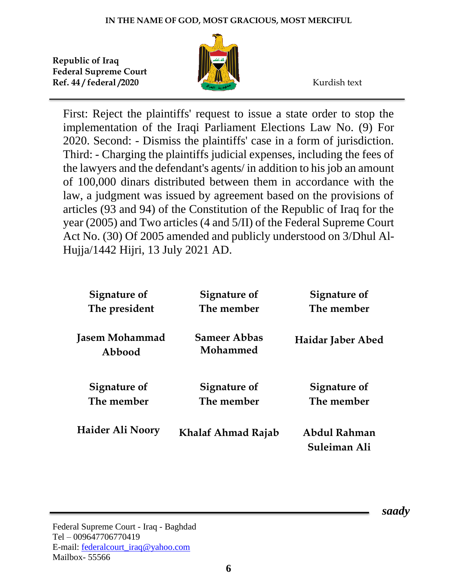

First: Reject the plaintiffs' request to issue a state order to stop the implementation of the Iraqi Parliament Elections Law No. (9) For 2020. Second: - Dismiss the plaintiffs' case in a form of jurisdiction. Third: - Charging the plaintiffs judicial expenses, including the fees of the lawyers and the defendant's agents/ in addition to his job an amount of 100,000 dinars distributed between them in accordance with the law, a judgment was issued by agreement based on the provisions of articles (93 and 94) of the Constitution of the Republic of Iraq for the year (2005) and Two articles (4 and 5/II) of the Federal Supreme Court Act No. (30) Of 2005 amended and publicly understood on 3/Dhul Al-Hujja/1442 Hijri, 13 July 2021 AD.

| Signature of                    | Signature of                    | Signature of                 |
|---------------------------------|---------------------------------|------------------------------|
| The president                   | The member                      | The member                   |
| <b>Jasem Mohammad</b><br>Abbood | <b>Sameer Abbas</b><br>Mohammed | Haidar Jaber Abed            |
| Signature of                    | <b>Signature of</b>             | Signature of                 |
| The member                      | The member                      | The member                   |
| Haider Ali Noory                | Khalaf Ahmad Rajab              | Abdul Rahman<br>Suleiman Ali |

Federal Supreme Court - Iraq - Baghdad Tel – 009647706770419 E-mail: [federalcourt\\_iraq@yahoo.com](mailto:federalcourt_iraq@yahoo.com) Mailbox- 55566